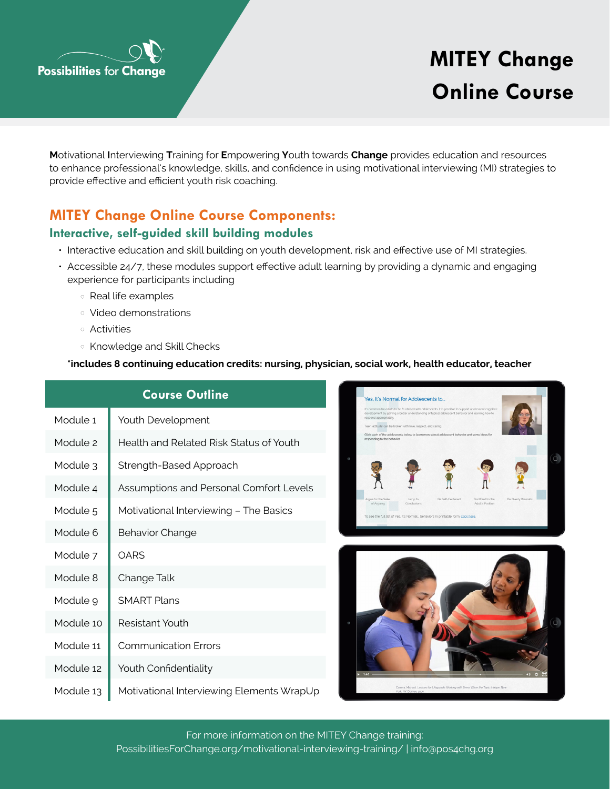

# **Online Course**

**M**otivational **I**nterviewing **T**raining for **E**mpowering **Y**outh towards **Change** provides education and resources to enhance professional's knowledge, skills, and confidence in using motivational interviewing (MI) strategies to provide effective and efficient youth risk coaching.

## **MITEY Change Online Course Components:**

### **Interactive, self-guided skill building modules**

- Interactive education and skill building on youth development, risk and effective use of MI strategies.
- Accessible 24/7, these modules support effective adult learning by providing a dynamic and engaging experience for participants including
	- Real life examples
	- Video demonstrations
	- Activities
	- Knowledge and Skill Checks

#### **\*includes 8 continuing education credits: nursing, physician, social work, health educator, teacher**

| <b>Course Outline</b> |                                           |  |
|-----------------------|-------------------------------------------|--|
| Module <sub>1</sub>   | Youth Development                         |  |
| Module <sub>2</sub>   | Health and Related Risk Status of Youth   |  |
| Module 3              | Strength-Based Approach                   |  |
| Module 4              | Assumptions and Personal Comfort Levels   |  |
| Module <sub>5</sub>   | Motivational Interviewing - The Basics    |  |
| Module 6              | <b>Behavior Change</b>                    |  |
| Module 7              | <b>OARS</b>                               |  |
| Module 8              | Change Talk                               |  |
| Module 9              | <b>SMART Plans</b>                        |  |
| Module 10             | Resistant Youth                           |  |
| Module 11             | <b>Communication Frrors</b>               |  |
| Module 12             | Youth Confidentiality                     |  |
| Module 13             | Motivational Interviewing Elements WrapUp |  |





[PossibilitiesForChange.org/motivational-interviewing-training/](https://possibilitiesforchange.org/motivational-interviewing-training/) | [info@pos4chg.org](mailto:info%40pos4chg.org?subject=) For more information on the MITEY Change training: